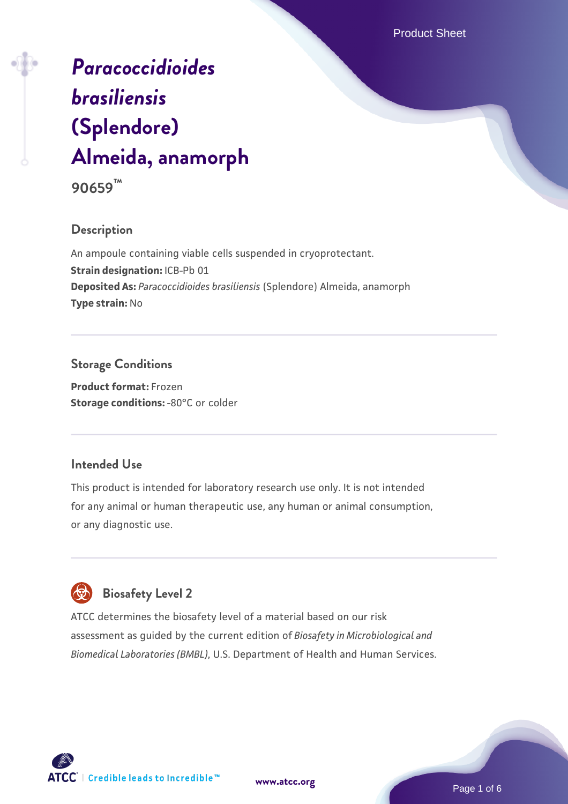Product Sheet

# *[Paracoccidioides](https://www.atcc.org/products/90659) [brasiliensis](https://www.atcc.org/products/90659)* **[\(Splendore\)](https://www.atcc.org/products/90659) [Almeida, anamorph](https://www.atcc.org/products/90659)**



## **Description**

An ampoule containing viable cells suspended in cryoprotectant. **Strain designation: ICB-Pb 01 Deposited As:** *Paracoccidioides brasiliensis* (Splendore) Almeida, anamorph **Type strain:** No

## **Storage Conditions**

**Product format:** Frozen **Storage conditions: - 80°C** or colder

## **Intended Use**

This product is intended for laboratory research use only. It is not intended for any animal or human therapeutic use, any human or animal consumption, or any diagnostic use.

# **Biosafety Level 2**

ATCC determines the biosafety level of a material based on our risk assessment as guided by the current edition of *Biosafety in Microbiological and Biomedical Laboratories (BMBL)*, U.S. Department of Health and Human Services.

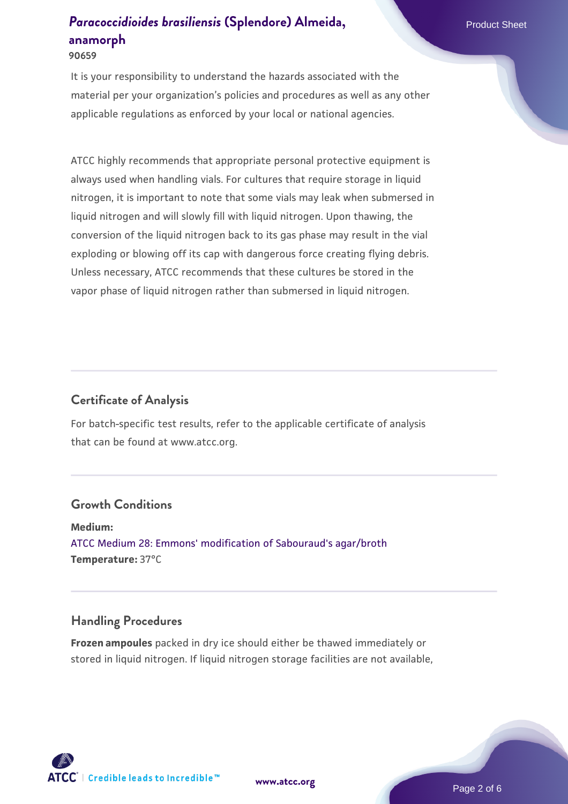**90659**

It is your responsibility to understand the hazards associated with the material per your organization's policies and procedures as well as any other applicable regulations as enforced by your local or national agencies.

ATCC highly recommends that appropriate personal protective equipment is always used when handling vials. For cultures that require storage in liquid nitrogen, it is important to note that some vials may leak when submersed in liquid nitrogen and will slowly fill with liquid nitrogen. Upon thawing, the conversion of the liquid nitrogen back to its gas phase may result in the vial exploding or blowing off its cap with dangerous force creating flying debris. Unless necessary, ATCC recommends that these cultures be stored in the vapor phase of liquid nitrogen rather than submersed in liquid nitrogen.

#### **Certificate of Analysis**

For batch-specific test results, refer to the applicable certificate of analysis that can be found at www.atcc.org.

#### **Growth Conditions**

**Medium:**  [ATCC Medium 28: Emmons' modification of Sabouraud's agar/broth](https://www.atcc.org/-/media/product-assets/documents/microbial-media-formulations/2/8/atcc-medium-28.pdf?rev=0da0c58cc2a343eeae735016b70809bb) **Temperature:** 37°C

#### **Handling Procedures**

**Frozen ampoules** packed in dry ice should either be thawed immediately or stored in liquid nitrogen. If liquid nitrogen storage facilities are not available,

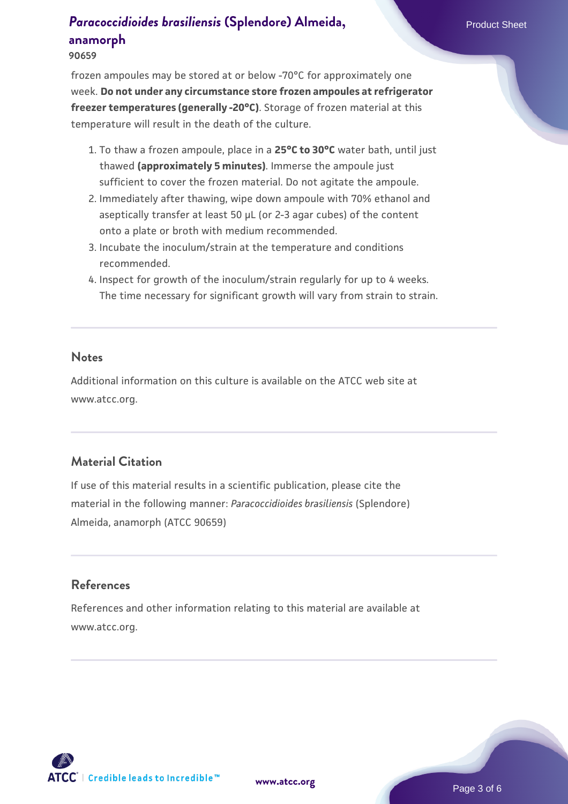**90659**

frozen ampoules may be stored at or below -70°C for approximately one week. **Do not under any circumstance store frozen ampoules at refrigerator freezer temperatures (generally -20°C)**. Storage of frozen material at this temperature will result in the death of the culture.

- 1. To thaw a frozen ampoule, place in a **25°C to 30°C** water bath, until just thawed **(approximately 5 minutes)**. Immerse the ampoule just sufficient to cover the frozen material. Do not agitate the ampoule.
- 2. Immediately after thawing, wipe down ampoule with 70% ethanol and aseptically transfer at least 50 µL (or 2-3 agar cubes) of the content onto a plate or broth with medium recommended.
- 3. Incubate the inoculum/strain at the temperature and conditions recommended.
- 4. Inspect for growth of the inoculum/strain regularly for up to 4 weeks. The time necessary for significant growth will vary from strain to strain.

#### **Notes**

Additional information on this culture is available on the ATCC web site at www.atcc.org.

## **Material Citation**

If use of this material results in a scientific publication, please cite the material in the following manner: *Paracoccidioides brasiliensis* (Splendore) Almeida, anamorph (ATCC 90659)

## **References**

References and other information relating to this material are available at www.atcc.org.

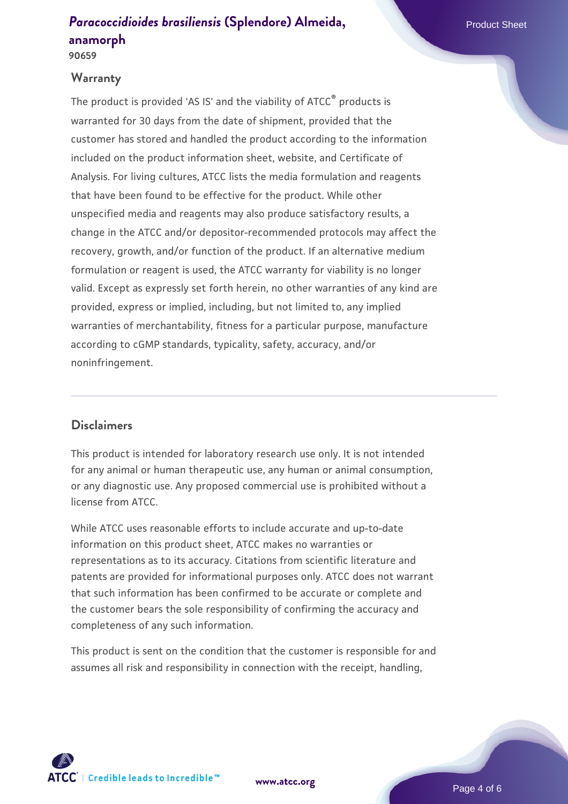**90659**

#### **Warranty**

The product is provided 'AS IS' and the viability of ATCC<sup>®</sup> products is warranted for 30 days from the date of shipment, provided that the customer has stored and handled the product according to the information included on the product information sheet, website, and Certificate of Analysis. For living cultures, ATCC lists the media formulation and reagents that have been found to be effective for the product. While other unspecified media and reagents may also produce satisfactory results, a change in the ATCC and/or depositor-recommended protocols may affect the recovery, growth, and/or function of the product. If an alternative medium formulation or reagent is used, the ATCC warranty for viability is no longer valid. Except as expressly set forth herein, no other warranties of any kind are provided, express or implied, including, but not limited to, any implied warranties of merchantability, fitness for a particular purpose, manufacture according to cGMP standards, typicality, safety, accuracy, and/or noninfringement.

## **Disclaimers**

This product is intended for laboratory research use only. It is not intended for any animal or human therapeutic use, any human or animal consumption, or any diagnostic use. Any proposed commercial use is prohibited without a license from ATCC.

While ATCC uses reasonable efforts to include accurate and up-to-date information on this product sheet, ATCC makes no warranties or representations as to its accuracy. Citations from scientific literature and patents are provided for informational purposes only. ATCC does not warrant that such information has been confirmed to be accurate or complete and the customer bears the sole responsibility of confirming the accuracy and completeness of any such information.

This product is sent on the condition that the customer is responsible for and assumes all risk and responsibility in connection with the receipt, handling,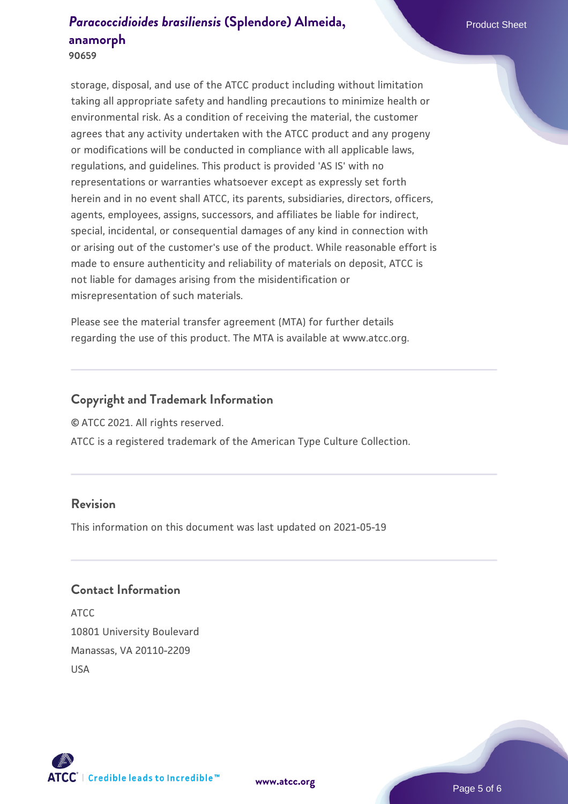**90659**

storage, disposal, and use of the ATCC product including without limitation taking all appropriate safety and handling precautions to minimize health or environmental risk. As a condition of receiving the material, the customer agrees that any activity undertaken with the ATCC product and any progeny or modifications will be conducted in compliance with all applicable laws, regulations, and guidelines. This product is provided 'AS IS' with no representations or warranties whatsoever except as expressly set forth herein and in no event shall ATCC, its parents, subsidiaries, directors, officers, agents, employees, assigns, successors, and affiliates be liable for indirect, special, incidental, or consequential damages of any kind in connection with or arising out of the customer's use of the product. While reasonable effort is made to ensure authenticity and reliability of materials on deposit, ATCC is not liable for damages arising from the misidentification or misrepresentation of such materials.

Please see the material transfer agreement (MTA) for further details regarding the use of this product. The MTA is available at www.atcc.org.

## **Copyright and Trademark Information**

© ATCC 2021. All rights reserved.

ATCC is a registered trademark of the American Type Culture Collection.

#### **Revision**

This information on this document was last updated on 2021-05-19

## **Contact Information**

ATCC 10801 University Boulevard Manassas, VA 20110-2209 USA